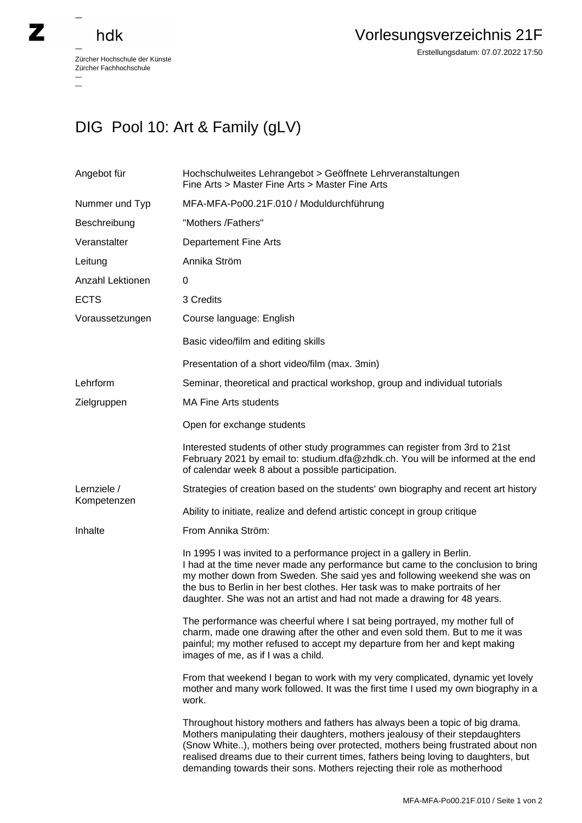## hdk

 $\overline{\phantom{0}}$ 

 $\overline{\phantom{0}}$ 

Zürcher Hochschule der Künste Zürcher Fachhochschule —

## DIG Pool 10: Art & Family (gLV)

| Angebot für                | Hochschulweites Lehrangebot > Geöffnete Lehrveranstaltungen<br>Fine Arts > Master Fine Arts > Master Fine Arts                                                                                                                                                                                                                                                                                                    |
|----------------------------|-------------------------------------------------------------------------------------------------------------------------------------------------------------------------------------------------------------------------------------------------------------------------------------------------------------------------------------------------------------------------------------------------------------------|
| Nummer und Typ             | MFA-MFA-Po00.21F.010 / Moduldurchführung                                                                                                                                                                                                                                                                                                                                                                          |
| Beschreibung               | "Mothers /Fathers"                                                                                                                                                                                                                                                                                                                                                                                                |
| Veranstalter               | <b>Departement Fine Arts</b>                                                                                                                                                                                                                                                                                                                                                                                      |
| Leitung                    | Annika Ström                                                                                                                                                                                                                                                                                                                                                                                                      |
| Anzahl Lektionen           | 0                                                                                                                                                                                                                                                                                                                                                                                                                 |
| <b>ECTS</b>                | 3 Credits                                                                                                                                                                                                                                                                                                                                                                                                         |
| Voraussetzungen            | Course language: English                                                                                                                                                                                                                                                                                                                                                                                          |
|                            | Basic video/film and editing skills                                                                                                                                                                                                                                                                                                                                                                               |
|                            | Presentation of a short video/film (max. 3min)                                                                                                                                                                                                                                                                                                                                                                    |
| Lehrform                   | Seminar, theoretical and practical workshop, group and individual tutorials                                                                                                                                                                                                                                                                                                                                       |
| Zielgruppen                | <b>MA Fine Arts students</b>                                                                                                                                                                                                                                                                                                                                                                                      |
|                            | Open for exchange students                                                                                                                                                                                                                                                                                                                                                                                        |
|                            | Interested students of other study programmes can register from 3rd to 21st<br>February 2021 by email to: studium.dfa@zhdk.ch. You will be informed at the end<br>of calendar week 8 about a possible participation.                                                                                                                                                                                              |
| Lernziele /<br>Kompetenzen | Strategies of creation based on the students' own biography and recent art history                                                                                                                                                                                                                                                                                                                                |
|                            | Ability to initiate, realize and defend artistic concept in group critique                                                                                                                                                                                                                                                                                                                                        |
| Inhalte                    | From Annika Ström:                                                                                                                                                                                                                                                                                                                                                                                                |
|                            | In 1995 I was invited to a performance project in a gallery in Berlin.<br>I had at the time never made any performance but came to the conclusion to bring<br>my mother down from Sweden. She said yes and following weekend she was on<br>the bus to Berlin in her best clothes. Her task was to make portraits of her<br>daughter. She was not an artist and had not made a drawing for 48 years.               |
|                            | The performance was cheerful where I sat being portrayed, my mother full of<br>charm, made one drawing after the other and even sold them. But to me it was<br>painful; my mother refused to accept my departure from her and kept making<br>images of me, as if I was a child.                                                                                                                                   |
|                            | From that weekend I began to work with my very complicated, dynamic yet lovely<br>mother and many work followed. It was the first time I used my own biography in a<br>work.                                                                                                                                                                                                                                      |
|                            | Throughout history mothers and fathers has always been a topic of big drama.<br>Mothers manipulating their daughters, mothers jealousy of their stepdaughters<br>(Snow White), mothers being over protected, mothers being frustrated about non<br>realised dreams due to their current times, fathers being loving to daughters, but<br>demanding towards their sons. Mothers rejecting their role as motherhood |